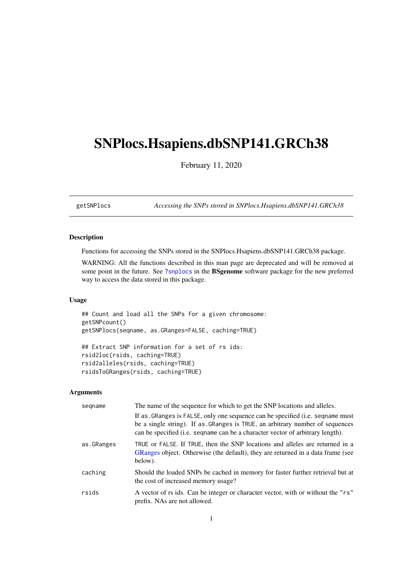# <span id="page-0-1"></span><span id="page-0-0"></span>SNPlocs.Hsapiens.dbSNP141.GRCh38

February 11, 2020

getSNPlocs *Accessing the SNPs stored in SNPlocs.Hsapiens.dbSNP141.GRCh38*

# Description

Functions for accessing the SNPs stored in the SNPlocs.Hsapiens.dbSNP141.GRCh38 package.

WARNING: All the functions described in this man page are deprecated and will be removed at some point in the future. See ?snplocs in the BSgenome software package for the new preferred way to access the data stored in this package.

## Usage

```
## Count and load all the SNPs for a given chromosome:
getSNPcount()
getSNPlocs(seqname, as.GRanges=FALSE, caching=TRUE)
## Extract SNP information for a set of rs ids:
rsid2loc(rsids, caching=TRUE)
rsid2alleles(rsids, caching=TRUE)
rsidsToGRanges(rsids, caching=TRUE)
```
# Arguments

| segname    | The name of the sequence for which to get the SNP locations and alleles.                                                                                                                                                                          |
|------------|---------------------------------------------------------------------------------------------------------------------------------------------------------------------------------------------------------------------------------------------------|
|            | If as GRanges is FALSE, only one sequence can be specified (i.e. sequame must<br>be a single string). If as GRanges is TRUE, an arbitrary number of sequences<br>can be specified (i.e. sequality can be a character vector of arbitrary length). |
| as.GRanges | TRUE or FALSE. If TRUE, then the SNP locations and alleles are returned in a<br>GRanges object. Otherwise (the default), they are returned in a data frame (see<br>below).                                                                        |
| caching    | Should the loaded SNPs be cached in memory for faster further retrieval but at<br>the cost of increased memory usage?                                                                                                                             |
| rsids      | A vector of rs ids. Can be integer or character vector, with or without the "rs"<br>prefix. NAs are not allowed.                                                                                                                                  |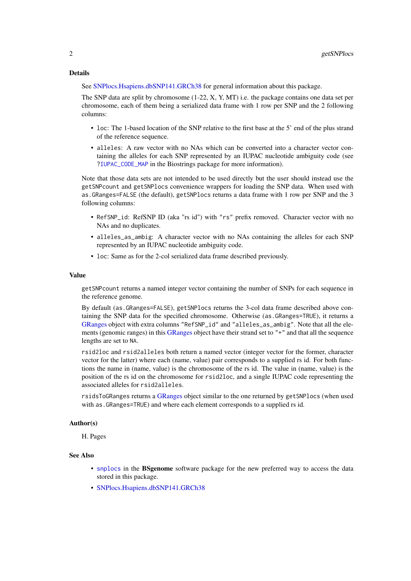#### <span id="page-1-0"></span>Details

See [SNPlocs.Hsapiens.dbSNP141.GRCh38](#page-2-0) for general information about this package.

The SNP data are split by chromosome (1-22, X, Y, MT) i.e. the package contains one data set per chromosome, each of them being a serialized data frame with 1 row per SNP and the 2 following columns:

- loc: The 1-based location of the SNP relative to the first base at the 5' end of the plus strand of the reference sequence.
- alleles: A raw vector with no NAs which can be converted into a character vector containing the alleles for each SNP represented by an IUPAC nucleotide ambiguity code (see [?IUPAC\\_CODE\\_MAP](#page-0-0) in the Biostrings package for more information).

Note that those data sets are not intended to be used directly but the user should instead use the getSNPcount and getSNPlocs convenience wrappers for loading the SNP data. When used with as.GRanges=FALSE (the default), getSNPlocs returns a data frame with 1 row per SNP and the 3 following columns:

- RefSNP\_id: RefSNP ID (aka "rs id") with "rs" prefix removed. Character vector with no NAs and no duplicates.
- alleles\_as\_ambig: A character vector with no NAs containing the alleles for each SNP represented by an IUPAC nucleotide ambiguity code.
- loc: Same as for the 2-col serialized data frame described previously.

#### Value

getSNPcount returns a named integer vector containing the number of SNPs for each sequence in the reference genome.

By default (as.GRanges=FALSE), getSNPlocs returns the 3-col data frame described above containing the SNP data for the specified chromosome. Otherwise (as.GRanges=TRUE), it returns a [GRanges](#page-0-0) object with extra columns "RefSNP\_id" and "alleles\_as\_ambig". Note that all the ele-ments (genomic ranges) in this [GRanges](#page-0-0) object have their strand set to "+" and that all the sequence lengths are set to NA.

rsid2loc and rsid2alleles both return a named vector (integer vector for the former, character vector for the latter) where each (name, value) pair corresponds to a supplied rs id. For both functions the name in (name, value) is the chromosome of the rs id. The value in (name, value) is the position of the rs id on the chromosome for rsid2loc, and a single IUPAC code representing the associated alleles for rsid2alleles.

rsidsToGRanges returns a [GRanges](#page-0-0) object similar to the one returned by getSNPlocs (when used with as.GRanges=TRUE) and where each element corresponds to a supplied rs id.

#### Author(s)

H. Pages

#### See Also

- [snplocs](#page-0-0) in the **BSgenome** software package for the new preferred way to access the data stored in this package.
- [SNPlocs.Hsapiens.dbSNP141.GRCh38](#page-2-0)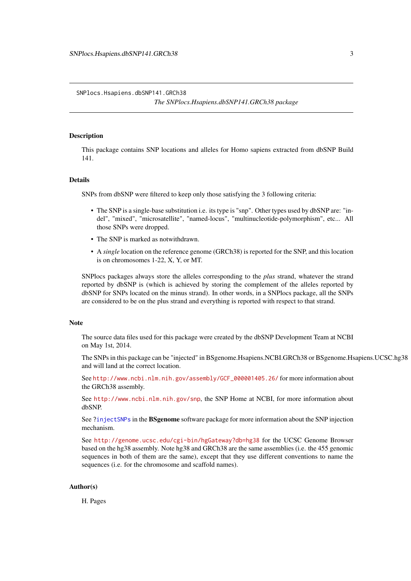<span id="page-2-1"></span><span id="page-2-0"></span>SNPlocs.Hsapiens.dbSNP141.GRCh38

*The SNPlocs.Hsapiens.dbSNP141.GRCh38 package*

# **Description**

This package contains SNP locations and alleles for Homo sapiens extracted from dbSNP Build 141.

#### **Details**

SNPs from dbSNP were filtered to keep only those satisfying the 3 following criteria:

- The SNP is a single-base substitution i.e. its type is "snp". Other types used by dbSNP are: "indel", "mixed", "microsatellite", "named-locus", "multinucleotide-polymorphism", etc... All those SNPs were dropped.
- The SNP is marked as notwithdrawn.
- A *single* location on the reference genome (GRCh38) is reported for the SNP, and this location is on chromosomes 1-22, X, Y, or MT.

SNPlocs packages always store the alleles corresponding to the *plus* strand, whatever the strand reported by dbSNP is (which is achieved by storing the complement of the alleles reported by dbSNP for SNPs located on the minus strand). In other words, in a SNPlocs package, all the SNPs are considered to be on the plus strand and everything is reported with respect to that strand.

#### Note

The source data files used for this package were created by the dbSNP Development Team at NCBI on May 1st, 2014.

The SNPs in this package can be "injected" in BSgenome.Hsapiens.NCBI.GRCh38 or BSgenome.Hsapiens.UCSC.hg38 and will land at the correct location.

See [http://www.ncbi.nlm.nih.gov/assembly/GCF\\_000001405.26/](http://www.ncbi.nlm.nih.gov/assembly/GCF_000001405.26/) for more information about the GRCh38 assembly.

See <http://www.ncbi.nlm.nih.gov/snp>, the SNP Home at NCBI, for more information about dbSNP.

See [?injectSNPs](#page-0-0) in the BSgenome software package for more information about the SNP injection mechanism.

See <http://genome.ucsc.edu/cgi-bin/hgGateway?db=hg38> for the UCSC Genome Browser based on the hg38 assembly. Note hg38 and GRCh38 are the same assemblies (i.e. the 455 genomic sequences in both of them are the same), except that they use different conventions to name the sequences (i.e. for the chromosome and scaffold names).

# Author(s)

H. Pages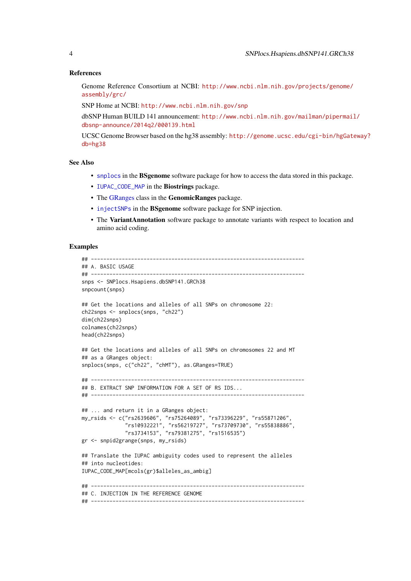#### <span id="page-3-0"></span>References

Genome Reference Consortium at NCBI: [http://www.ncbi.nlm.nih.gov/projects/genome/](http://www.ncbi.nlm.nih.gov/projects/genome/assembly/grc/) [assembly/grc/](http://www.ncbi.nlm.nih.gov/projects/genome/assembly/grc/)

SNP Home at NCBI: <http://www.ncbi.nlm.nih.gov/snp>

dbSNP Human BUILD 141 announcement: [http://www.ncbi.nlm.nih.gov/mailman/pipermail](http://www.ncbi.nlm.nih.gov/mailman/pipermail/dbsnp-announce/2014q2/000139.html)/ [dbsnp-announce/2014q2/000139.html](http://www.ncbi.nlm.nih.gov/mailman/pipermail/dbsnp-announce/2014q2/000139.html)

UCSC Genome Browser based on the hg38 assembly: [http://genome.ucsc.edu/cgi-bin/hgGate](http://genome.ucsc.edu/cgi-bin/hgGateway?db=hg38)way? [db=hg38](http://genome.ucsc.edu/cgi-bin/hgGateway?db=hg38)

# See Also

- [snplocs](#page-0-0) in the BSgenome software package for how to access the data stored in this package.
- [IUPAC\\_CODE\\_MAP](#page-0-0) in the Biostrings package.
- The [GRanges](#page-0-0) class in the GenomicRanges package.
- [injectSNPs](#page-0-0) in the **BSgenome** software package for SNP injection.
- The VariantAnnotation software package to annotate variants with respect to location and amino acid coding.

#### Examples

```
## ---------------------------------------------------------------------
## A. BASIC USAGE
## ---------------------------------------------------------------------
snps <- SNPlocs.Hsapiens.dbSNP141.GRCh38
snpcount(snps)
## Get the locations and alleles of all SNPs on chromosome 22:
ch22snps <- snplocs(snps, "ch22")
dim(ch22snps)
colnames(ch22snps)
head(ch22snps)
## Get the locations and alleles of all SNPs on chromosomes 22 and MT
## as a GRanges object:
snplocs(snps, c("ch22", "chMT"), as.GRanges=TRUE)
## ---------------------------------------------------------------------
## B. EXTRACT SNP INFORMATION FOR A SET OF RS IDS...
## ---------------------------------------------------------------------
## ... and return it in a GRanges object:
my_rsids <- c("rs2639606", "rs75264089", "rs73396229", "rs55871206",
              "rs10932221", "rs56219727", "rs73709730", "rs55838886",
              "rs3734153", "rs79381275", "rs1516535")
gr <- snpid2grange(snps, my_rsids)
## Translate the IUPAC ambiguity codes used to represent the alleles
## into nucleotides:
IUPAC_CODE_MAP[mcols(gr)$alleles_as_ambig]
## ---------------------------------------------------------------------
## C. INJECTION IN THE REFERENCE GENOME
## ---------------------------------------------------------------------
```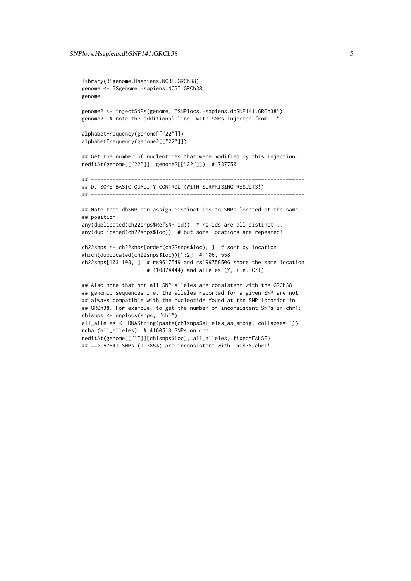```
library(BSgenome.Hsapiens.NCBI.GRCh38)
genome <- BSgenome.Hsapiens.NCBI.GRCh38
genome
genome2 <- injectSNPs(genome, "SNPlocs.Hsapiens.dbSNP141.GRCh38")
genome2 # note the additional line "with SNPs injected from..."
alphabetFrequency(genome[["22"]])
alphabetFrequency(genome2[["22"]])
## Get the number of nucleotides that were modified by this injection:
neditAt(genome[["22"]], genome2[["22"]]) # 737750
## ---------------------------------------------------------------------
## D. SOME BASIC QUALITY CONTROL (WITH SURPRISING RESULTS!)
## ---------------------------------------------------------------------
## Note that dbSNP can assign distinct ids to SNPs located at the same
## position:
any(duplicated(ch22snps$RefSNP_id)) # rs ids are all distinct...
any(duplicated(ch22snps$loc)) # but some locations are repeated!
ch22snps <- ch22snps[order(ch22snps$loc), ] # sort by location
which(duplicated(ch22snps$loc))[1:2] # 106, 558
ch22snps[103:108, ] # rs9617549 and rs199758506 share the same location
                     # (10874444) and alleles (Y, i.e. C/T)
## Also note that not all SNP alleles are consistent with the GRCh38
## genomic sequences i.e. the alleles reported for a given SNP are not
## always compatible with the nucleotide found at the SNP location in
## GRCh38. For example, to get the number of inconsistent SNPs in chr1:
ch1snps <- snplocs(snps, "ch1")
all_alleles <- DNAString(paste(ch1snps$alleles_as_ambig, collapse=""))
nchar(all_alleles) # 4160510 SNPs on chr1
neditAt(genome[["1"]][ch1snps$loc], all_alleles, fixed=FALSE)
```
## ==> 57641 SNPs (1.385%) are inconsistent with GRCh38 chr1!